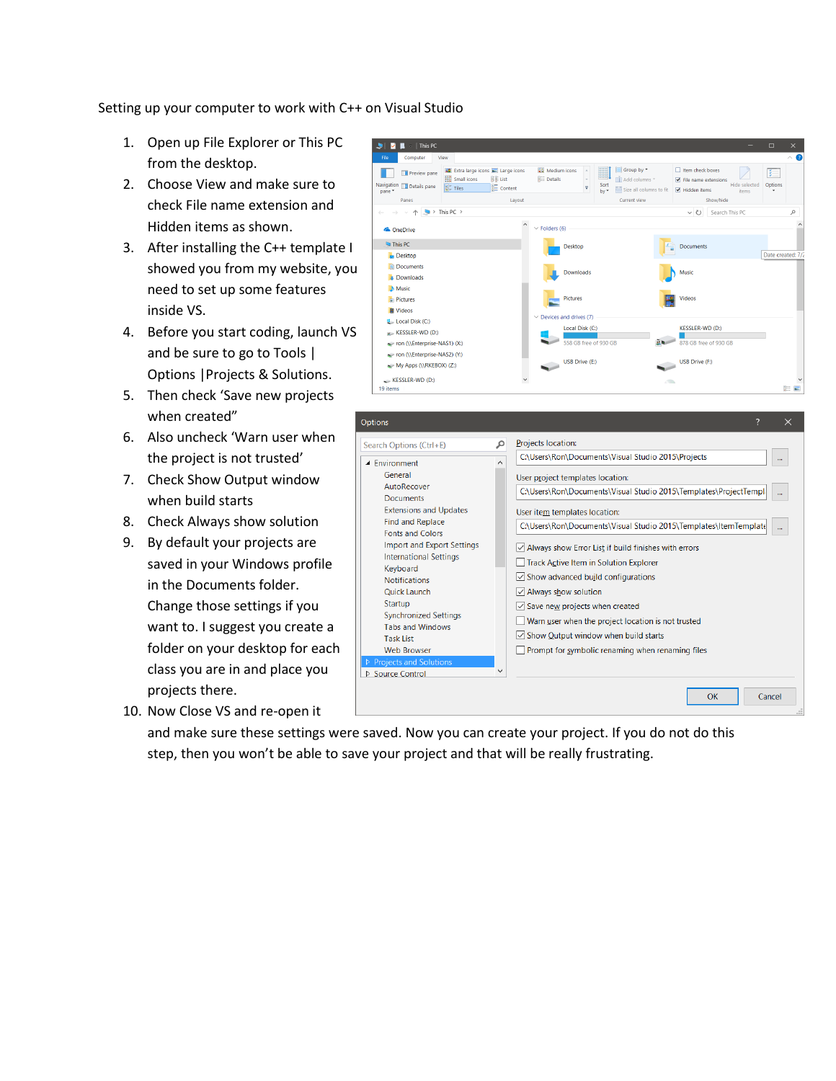Setting up your computer to work with C++ on Visual Studio

- 1. Open up File Explorer or This PC from the desktop.
- 2. Choose View and make sure to check File name extension and Hidden items as shown.
- 3. After installing the C++ template I showed you from my website, you need to set up some features inside VS.
- 4. Before you start coding, launch VS and be sure to go to Tools | Options |Projects & Solutions.
- 5. Then check 'Save new projects when created"
- 6. Also uncheck 'Warn user when the project is not trusted'
- 7. Check Show Output window when build starts
- 8. Check Always show solution
- 9. By default your projects are saved in your Windows profile in the Documents folder. Change those settings if you want to. I suggest you create a folder on your desktop for each class you are in and place you projects there.
- 10. Now Close VS and re-open it



Prompt for symbolic renaming when renaming files

**OK** 

Cancel

and make sure these settings were saved. Now you can create your project. If you do not do this step, then you won't be able to save your project and that will be really frustrating.

**Web Browser** 

D Source Control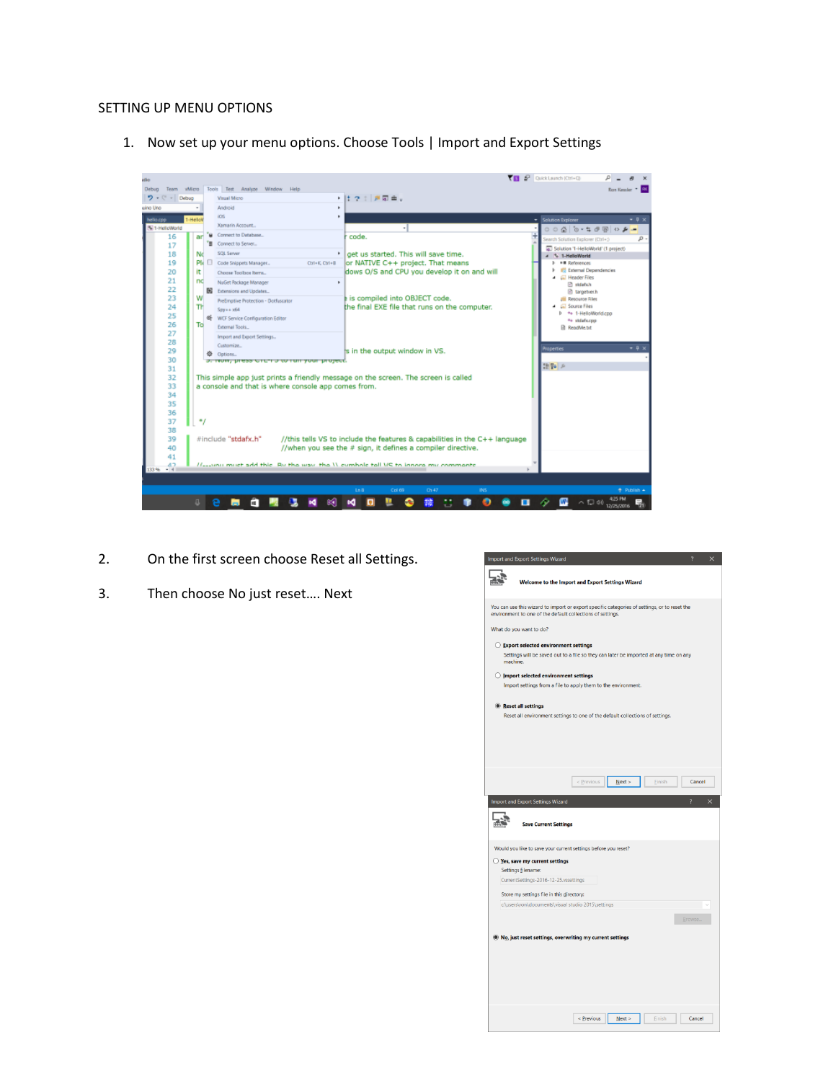## SETTING UP MENU OPTIONS

1. Now set up your menu options. Choose Tools | Import and Export Settings



- 2. On the first screen choose Reset all Settings.
- 3. Then choose No just reset…. Next

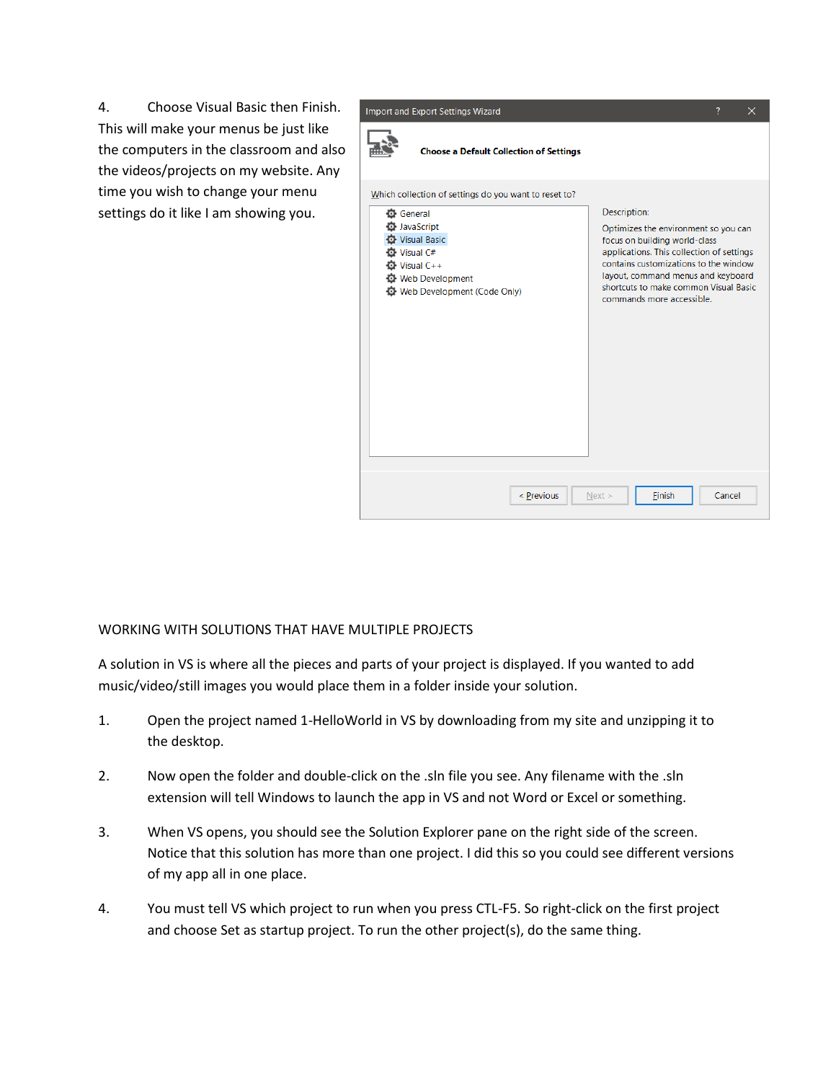4. Choose Visual Basic then Finish. This will make your menus be just like the computers in the classroom and also the videos/projects on my website. Any time you wish to change your menu settings do it like I am showing you.



## WORKING WITH SOLUTIONS THAT HAVE MULTIPLE PROJECTS

A solution in VS is where all the pieces and parts of your project is displayed. If you wanted to add music/video/still images you would place them in a folder inside your solution.

- 1. Open the project named 1-HelloWorld in VS by downloading from my site and unzipping it to the desktop.
- 2. Now open the folder and double-click on the .sln file you see. Any filename with the .sln extension will tell Windows to launch the app in VS and not Word or Excel or something.
- 3. When VS opens, you should see the Solution Explorer pane on the right side of the screen. Notice that this solution has more than one project. I did this so you could see different versions of my app all in one place.
- 4. You must tell VS which project to run when you press CTL-F5. So right-click on the first project and choose Set as startup project. To run the other project(s), do the same thing.